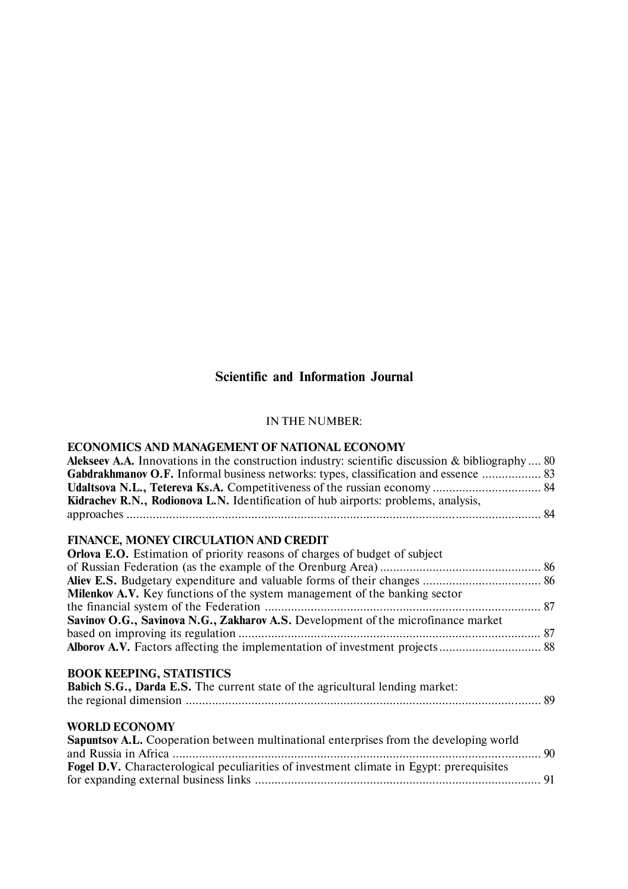# **Scientific and Information Journal**

## IN THE NUMBER:

# **ECONOMICS AND MANAGEMENT OF NATIONAL ECONOMY**

| <b>Alekseev A.A.</b> Innovations in the construction industry: scientific discussion & bibliography  80 |  |
|---------------------------------------------------------------------------------------------------------|--|
| <b>Gabdrakhmanov O.F.</b> Informal business networks: types, classification and essence  83             |  |
|                                                                                                         |  |
| Kidrachev R.N., Rodionova L.N. Identification of hub airports: problems, analysis,                      |  |
|                                                                                                         |  |
|                                                                                                         |  |
| FINANCE, MONEY CIRCULATION AND CREDIT                                                                   |  |
| <b>Orlova E.O.</b> Estimation of priority reasons of charges of budget of subject                       |  |
|                                                                                                         |  |
|                                                                                                         |  |
| Milenkov A.V. Key functions of the system management of the banking sector                              |  |
|                                                                                                         |  |
| Savinov O.G., Savinova N.G., Zakharov A.S. Development of the microfinance market                       |  |
|                                                                                                         |  |
| Alborov A.V. Factors affecting the implementation of investment projects 88                             |  |
|                                                                                                         |  |
| <b>BOOK KEEPING, STATISTICS</b>                                                                         |  |
| Babich S.G., Darda E.S. The current state of the agricultural lending market:                           |  |
|                                                                                                         |  |
|                                                                                                         |  |
| <b>WORLD ECONOMY</b>                                                                                    |  |
| Sapuntsov A.L. Cooperation between multinational enterprises from the developing world                  |  |
|                                                                                                         |  |
| Fogel D.V. Characterological peculiarities of investment climate in Egypt: prerequisites                |  |
|                                                                                                         |  |
|                                                                                                         |  |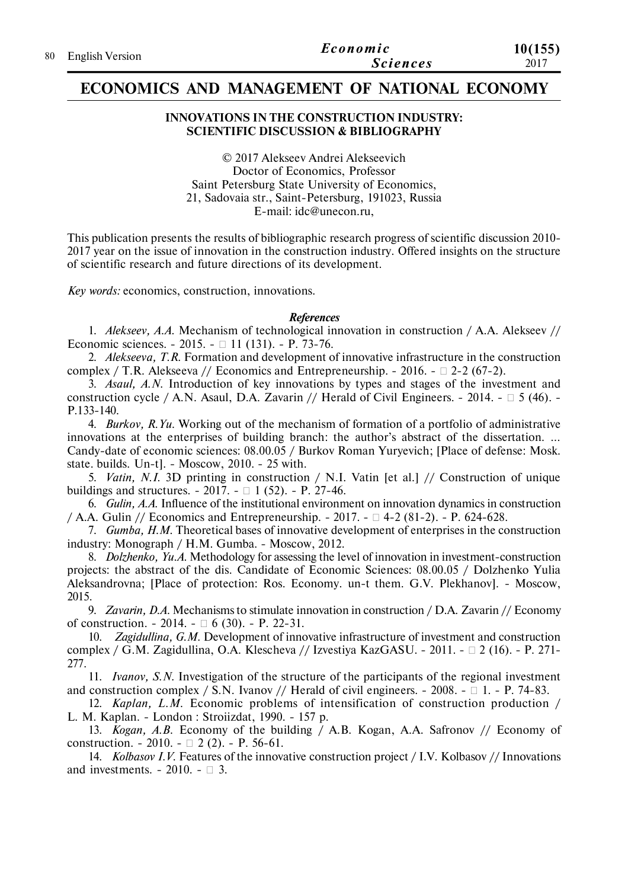| 80 English Version | Economic        | 10(155) |
|--------------------|-----------------|---------|
|                    | <i>Sciences</i> | 2017    |

## **ECONOMICS AND MANAGEMENT OF NATIONAL ECONOMY**

#### **INNOVATIONS IN THE CONSTRUCTION INDUSTRY: SCIENTIFIC DISCUSSION & BIBLIOGRAPHY**

© 2017 Alekseev Andrei Аlekseevich Doctor of Economics, Professor Saint Petersburg State University of Economics, 21, Sadovaia str., Saint-Petersburg, 191023, Russia E-mail: idc@unecon.ru,

This publication presents the results of bibliographic research progress of scientific discussion 2010- 2017 year on the issue of innovation in the construction industry. Offered insights on the structure of scientific research and future directions of its development.

*Key words:* economics, construction, innovations.

#### *References*

1. *Alekseev, A.A.* Mechanism of technological innovation in construction / A.A. Alekseev // Economic sciences. - 2015. - 11 (131). - P. 73-76.

2. *Alekseeva, T.R.* Formation and development of innovative infrastructure in the construction complex / T.R. Alekseeva // Economics and Entrepreneurship. - 2016. -  $\Box$  2-2 (67-2).

3. *Asaul, A.N.* Introduction of key innovations by types and stages of the investment and construction cycle / A.N. Asaul, D.A. Zavarin // Herald of Civil Engineers. - 2014. -  $\Box$  5 (46). -P.133-140.

4. *Burkov, R.Yu.* Working out of the mechanism of formation of a portfolio of administrative innovations at the enterprises of building branch: the author's abstract of the dissertation. ... Candy-date of economic sciences: 08.00.05 / Burkov Roman Yuryevich; [Place of defense: Mosk. state. builds. Un-t]. - Moscow, 2010. - 25 with.

5. *Vatin, N.I.* 3D printing in construction / N.I. Vatin [et al.] // Construction of unique buildings and structures.  $-2017. - 1$  (52).  $- P. 27-46.$ 

6. *Gulin, A.A.* Influence of the institutional environment on innovation dynamics in construction / A.A. Gulin // Economics and Entrepreneurship.  $-2017. - 7 = 4-2(81-2)$ .  $- P. 624-628$ .

7. *Gumba, H.M.* Theoretical bases of innovative development of enterprises in the construction industry: Monograph / H.M. Gumba. - Moscow, 2012.

8. *Dolzhenko, Yu.A.* Methodology for assessing the level of innovation in investment-construction projects: the abstract of the dis. Candidate of Economic Sciences: 08.00.05 / Dolzhenko Yulia Aleksandrovna; [Place of protection: Ros. Economy. un-t them. G.V. Plekhanov]. - Moscow, 2015.

9. *Zavarin, D.A.* Mechanisms to stimulate innovation in construction / D.A. Zavarin // Economy of construction.  $-2014. - \Box 6 (30)$ .  $- P. 22-31$ .

Zagidullina, G.M. Development of innovative infrastructure of investment and construction complex / G.M. Zagidullina, O.A. Klescheva // Izvestiya KazGASU. - 2011. -  $\Box$  2 (16). - P. 271-277.

11. *Ivanov, S.N.* Investigation of the structure of the participants of the regional investment and construction complex / S.N. Ivanov // Herald of civil engineers. - 2008. -  $\Box$  1. - P. 74-83.

12. *Kaplan, L.M.* Economic problems of intensification of construction production / L. M. Kaplan. - London : Stroiizdat, 1990. - 157 p.

13. *Kogan, A.B.* Economy of the building / A.B. Kogan, A.A. Safronov // Economy of construction. - 2010. -  $\Box$  2 (2). - P. 56-61.

14. *Kolbasov I.V.* Features of the innovative construction project / I.V. Kolbasov // Innovations and investments.  $-2010$ .  $- \Box$  3.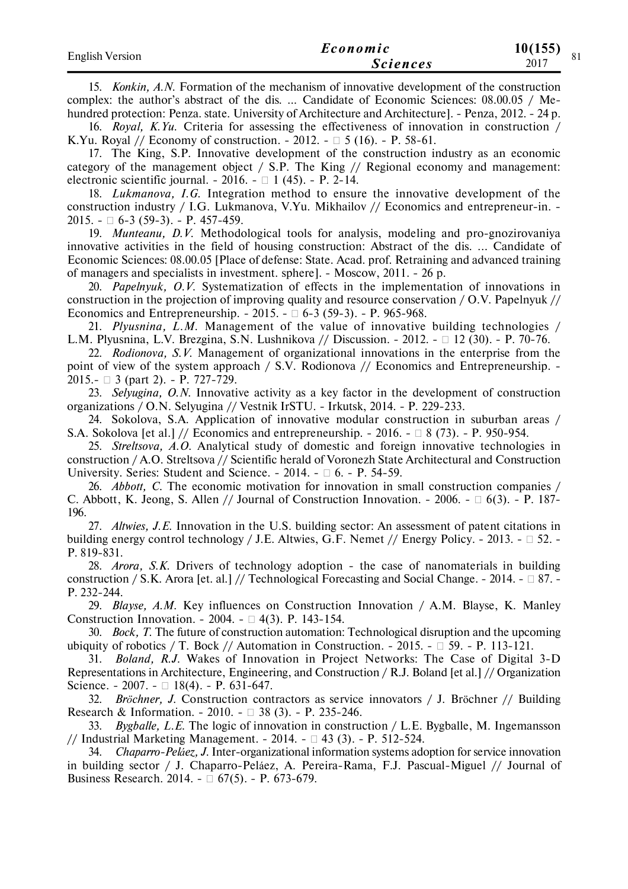| <b>English Version</b> | Economic        | 10(155) | O <sub>1</sub> |
|------------------------|-----------------|---------|----------------|
|                        | <i>Sciences</i> | 2017    |                |

15. *Konkin, A.N.* Formation of the mechanism of innovative development of the construction complex: the author's abstract of the dis. ... Candidate of Economic Sciences: 08.00.05 / Mehundred protection: Penza. state. University of Architecture and Architecture]. - Penza, 2012. - 24 p.

16. *Royal, K.Yu.* Criteria for assessing the effectiveness of innovation in construction / K.Yu. Royal // Economy of construction.  $-2012. - 5(16)$ .  $- P. 58-61$ .

17. The King, S.P. Innovative development of the construction industry as an economic category of the management object / S.P. The King // Regional economy and management: electronic scientific journal.  $-2016. - 1$  (45).  $- P. 2-14.$ 

18. *Lukmanova, I.G.* Integration method to ensure the innovative development of the construction industry / I.G. Lukmanova, V.Yu. Mikhailov // Economics and entrepreneur-in. -2015. - 6-3 (59-3). - P. 457-459.

19. *Munteanu, D.V.* Methodological tools for analysis, modeling and pro-gnozirovaniya innovative activities in the field of housing construction: Abstract of the dis. ... Candidate of Economic Sciences: 08.00.05 [Place of defense: State. Acad. prof. Retraining and advanced training of managers and specialists in investment. sphere]. - Moscow, 2011. - 26 p.

20. *Papelnyuk, O.V.* Systematization of effects in the implementation of innovations in construction in the projection of improving quality and resource conservation / O.V. Papelnyuk // Economics and Entrepreneurship.  $-2015. - 0.6 - 3(59-3)$ .  $- P. 965-968$ .

21. *Plyusnina, L.M.* Management of the value of innovative building technologies / L.M. Plyusnina, L.V. Brezgina, S.N. Lushnikova // Discussion. - 2012. - 12 (30). - P. 70-76.

22. *Rodionova, S.V.* Management of organizational innovations in the enterprise from the point of view of the system approach / S.V. Rodionova // Economics and Entrepreneurship. -2015.- 3 (part 2). - P. 727-729.

23. *Selyugina, O.N.* Innovative activity as a key factor in the development of construction organizations / O.N. Selyugina // Vestnik IrSTU. - Irkutsk, 2014. - P. 229-233.

24. Sokolova, S.A. Application of innovative modular construction in suburban areas / S.A. Sokolova [et al.] // Economics and entrepreneurship.  $-2016. - 8(73)$ .  $- P. 950-954$ .

25. *Streltsova, A.O.* Analytical study of domestic and foreign innovative technologies in construction / A.O. Streltsova // Scientific herald of Voronezh State Architectural and Construction University. Series: Student and Science. - 2014. -  $\Box$  6. - P. 54-59.

26. *Abbott, C.* The economic motivation for innovation in small construction companies / C. Abbott, K. Jeong, S. Allen // Journal of Construction Innovation. - 2006. -  $\Box$  6(3). - P. 187-196.

27. *Altwies, J.E.* Innovation in the U.S. building sector: An assessment of patent citations in building energy control technology / J.E. Altwies, G.F. Nemet // Energy Policy. - 2013. -  $\square$  52. -P. 819-831.

28. *Arora, S.K.* Drivers of technology adoption - the case of nanomaterials in building construction / S.K. Arora [et. al.] // Technological Forecasting and Social Change. - 2014. -  $\Box$  87. -P. 232-244.

29. *Blayse, A.M.* Key influences on Construction Innovation / A.M. Blayse, K. Manley Construction Innovation. - 2004. -  $\Box$  4(3). P. 143-154.

30. *Bock, T.* The future of construction automation: Technological disruption and the upcoming ubiquity of robotics / T. Bock // Automation in Construction. - 2015. -  $\Box$  59. - P. 113-121.

31. *Boland, R.J.* Wakes of Innovation in Project Networks: The Case of Digital 3-D Representations in Architecture, Engineering, and Construction / R.J. Boland [et al.] // Organization Science. - 2007. -  $\Box$  18(4). - P. 631-647.

32. *Bröchner, J.* Construction contractors as service innovators / J. Bröchner // Building Research & Information. - 2010. -  $\Box$  38 (3). - P. 235-246.

33. *Bygballe, L.E.* The logic of innovation in construction / L.E. Bygballe, M. Ingemansson // Industrial Marketing Management.  $-2014. - 243$  (3).  $- P. 512-524.$ 

34. *Chaparro-Peláez, J.* Inter-organizational information systems adoption for service innovation in building sector / J. Chaparro-Peláez, A. Pereira-Rama, F.J. Pascual-Miguel // Journal of Business Research. 2014. -  $\Box$  67(5). - P. 673-679.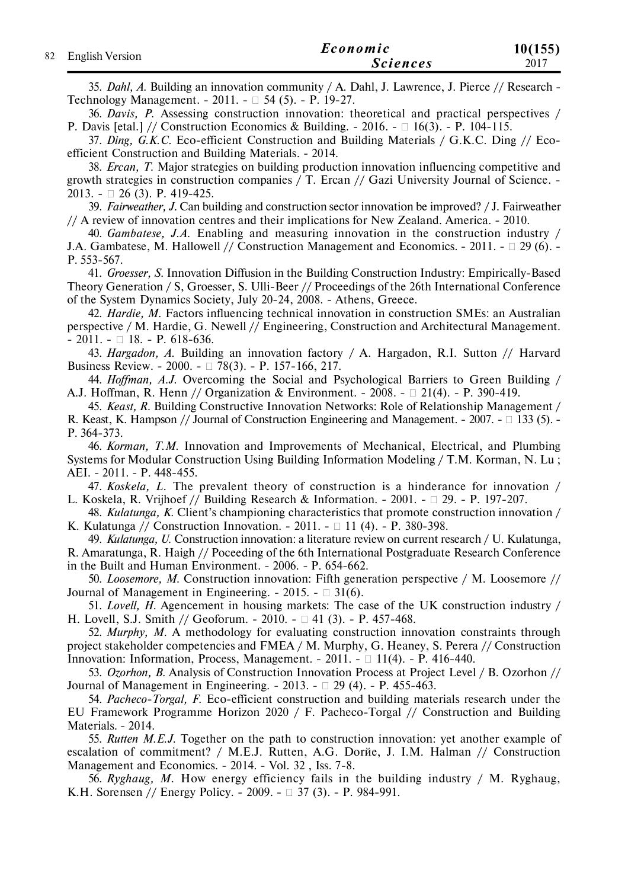| 82 English Version | Economic | 10(155)         |      |
|--------------------|----------|-----------------|------|
|                    |          | <i>Sciences</i> | 2017 |

35. *Dahl, A.* Building an innovation community / A. Dahl, J. Lawrence, J. Pierce // Research - Technology Management. - 2011. -  $\Box$  54 (5). - P. 19-27.

36. *Davis, P.* Assessing construction innovation: theoretical and practical perspectives / P. Davis [etal.] // Construction Economics & Building. - 2016. -  $\Box$  16(3). - P. 104-115.

37. *Ding, G.K.C.* Eco-efficient Construction and Building Materials / G.K.C. Ding // Ecoefficient Construction and Building Materials. - 2014.

38. *Ercan, T.* Major strategies on building production innovation influencing competitive and growth strategies in construction companies / T. Ercan // Gazi University Journal of Science. - 2013. - 26 (3). Р. 419-425.

39. *Fairweather, J.* Can building and construction sector innovation be improved? / J. Fairweather // A review of innovation centres and their implications for New Zealand. America. - 2010.

40. *Gambatese, J.A.* Enabling and measuring innovation in the construction industry / J.A. Gambatese, M. Hallowell // Construction Management and Economics. - 2011. -  $\Box$  29 (6). -Р. 553-567.

41. *Groesser, S.* Innovation Diffusion in the Building Construction Industry: Empirically-Based Theory Generation / S, Groesser, S. Ulli-Beer // Proceedings of the 26th International Conference of the System Dynamics Society, July 20-24, 2008. - Athens, Greece.

42. *Hardie, M.* Factors influencing technical innovation in construction SMEs: an Australian perspective / M. Hardie, G. Newell // Engineering, Construction and Architectural Management.  $- 2011. - \square 18. - P. 618-636.$ 

43. *Hargadon, A.* Building an innovation factory / A. Hargadon, R.I. Sutton // Harvard Business Review. - 2000. - 78(3). - Р. 157-166, 217.

44. *Hoffman, A.J.* Overcoming the Social and Psychological Barriers to Green Building / A.J. Hoffman, R. Henn // Organization & Environment. - 2008. -  $\Box$  21(4). - P. 390-419.

45. *Keast, R.* Building Constructive Innovation Networks: Role of Relationship Management / R. Keast, K. Hampson // Journal of Construction Engineering and Management.  $-2007$ .  $- \Box$  133 (5).  $-$ Р. 364-373.

46. *Korman, T.M.* Innovation and Improvements of Mechanical, Electrical, and Plumbing Systems for Modular Construction Using Building Information Modeling / T.M. Korman, N. Lu ; AEI. - 2011. - P. 448-455.

47. *Koskela, L.* The prevalent theory of construction is a hinderance for innovation / L. Koskela, R. Vrijhoef // Building Research & Information. - 2001. -  $\Box$  29. - P. 197-207.

48. *Kulatunga, K.* Client's championing characteristics that promote construction innovation / K. Kulatunga // Construction Innovation. - 2011. -  $\Box$  11 (4). - P. 380-398.

49. *Kulatunga, U.* Construction innovation: a literature review on current research / U. Kulatunga, R. Amaratunga, R. Haigh // Poceeding of the 6th International Postgraduate Research Conference in the Built and Human Environment. - 2006. - Р. 654-662.

50. *Loosemore, M.* Construction innovation: Fifth generation perspective / M. Loosemore // Journal of Management in Engineering.  $-2015. - \Box 31(6)$ .

51. *Lovell, H.* Agencement in housing markets: The case of the UK construction industry / H. Lovell, S.J. Smith // Geoforum. - 2010. -  $\Box$  41 (3). - P. 457-468.

52. *Murphy, M.* A methodology for evaluating construction innovation constraints through project stakeholder competencies and FMEA / M. Murphy, G. Heaney, S. Perera // Construction Innovation: Information, Process, Management. - 2011. -  $\Box$  11(4). - P. 416-440.

53. *Ozorhon, B.* Analysis of Construction Innovation Process at Project Level / B. Ozorhon // Journal of Management in Engineering.  $-2013. - \Box 29(4)$ .  $- P. 455-463$ .

54. *Pacheco-Torgal, F.* Eco-efficient construction and building materials research under the EU Framework Programme Horizon 2020 / F. Pacheco-Torgal // Construction and Building Materials. - 2014.

55. *Rutten M.E.J.* Together on the path to construction innovation: yet another example of escalation of commitment? / M.E.J. Rutten, A.G. Dorйe, J. I.M. Halman // Construction Management and Economics. - 2014. - Vol. 32 , Iss. 7-8.

56. *Ryghaug, M.* How energy efficiency fails in the building industry / M. Ryghaug, K.H. Sоrensen // Energy Policy. - 2009. - 37 (3). - Р. 984-991.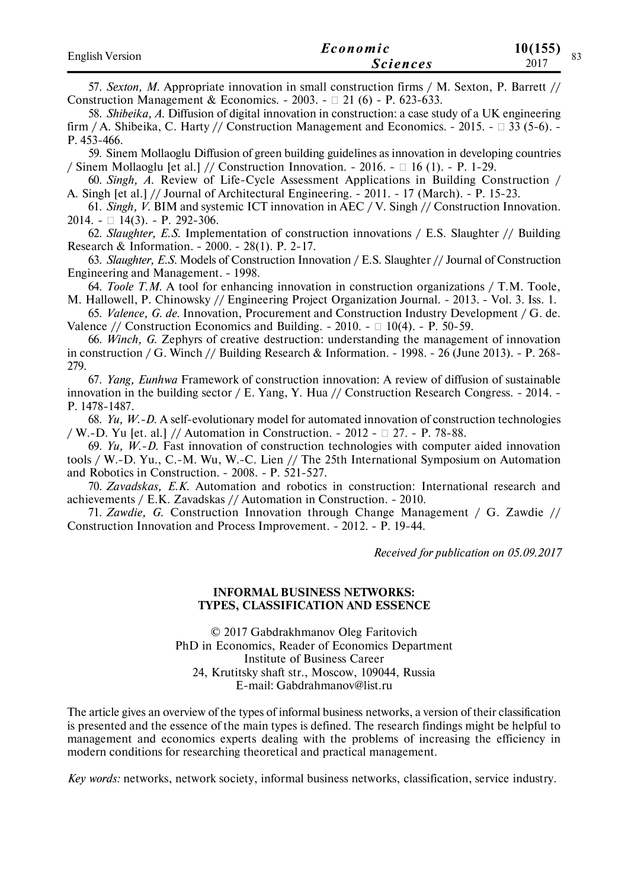| <b>English Version</b> | Economic        | 10(155)<br>$\Omega$ |
|------------------------|-----------------|---------------------|
|                        | <i>Sciences</i> | 2017                |

57. *Sexton, M.* Appropriate innovation in small construction firms / M. Sexton, P. Barrett // Construction Management & Economics. - 2003. -  $\Box$  21 (6) - P. 623-633.

58. *Shibeika, A.* Diffusion of digital innovation in construction: a case study of a UK engineering firm / A. Shibeika, C. Harty // Construction Management and Economics. - 2015. -  $\Box$  33 (5-6). -Р. 453-466.

59. Sinem Mollaoglu Diffusion of green building guidelines as innovation in developing countries / Sinem Mollaoglu [et al.] // Construction Innovation. - 2016. -  $\Box$  16 (1). - P. 1-29.

60. *Singh, A.* Review of Life-Cycle Assessment Applications in Building Construction / A. Singh [et al.] // Journal of Architectural Engineering. - 2011. - 17 (March). - Р. 15-23.

61. *Singh, V.* BIM and systemic ICT innovation in AEC / V. Singh // Construction Innovation. 2014. -  $\Box$  14(3). - P. 292-306.

62. *Slaughter, E.S.* Implementation of construction innovations / E.S. Slaughter // Building Research & Information. - 2000. - 28(1). Р. 2-17.

63. *Slaughter, E.S.* Models of Construction Innovation / E.S. Slaughter // Journal of Construction Engineering and Management. - 1998.

64. *Toole T.M.* A tool for enhancing innovation in construction organizations / T.M. Toole, M. Hallowell, P. Chinowsky // Engineering Project Organization Journal. - 2013. - Vol. 3. Iss. 1.

65. *Valence, G. de.* Innovation, Procurement and Construction Industry Development / G. de. Valence // Construction Economics and Building. - 2010. -  $\Box$  10(4). - P. 50-59.

66. *Winch, G.* Zephyrs of creative destruction: understanding the management of innovation in construction / G. Winch // Building Research & Information. - 1998. - 26 (June 2013). - Р. 268- 279.

67. *Yang, Eunhwa* Framework of construction innovation: A review of diffusion of sustainable innovation in the building sector / E. Yang, Y. Hua // Construction Research Congress. - 2014. - Р. 1478-1487.

68. *Yu, W.-D.* A self-evolutionary model for automated innovation of construction technologies / W.-D. Yu [et. al.] // Automation in Construction. - 2012 -  $\Box$  27. - P. 78-88.

69. *Yu, W.-D.* Fast innovation of construction technologies with computer aided innovation tools / W.-D. Yu., C.-M. Wu, W.-C. Lien // The 25th International Symposium on Automation and Robotics in Construction. - 2008. - Р. 521-527.

70. *Zavadskas, E.K.* Automation and robotics in construction: International research and achievements / E.K. Zavadskas // Automation in Construction. - 2010.

71. *Zawdie, G.* Construction Innovation through Change Management / G. Zawdie // Construction Innovation and Process Improvement. - 2012. - P. 19-44.

*Received for publication on 05.09.2017*

#### **INFORMAL BUSINESS NETWORKS: TYPES, CLASSIFICATION AND ESSENCE**

© 2017 Gabdrakhmanov Oleg Faritovich PhD in Economics, Reader of Economics Department Institute of Business Career 24, Krutitsky shaft str., Moscow, 109044, Russia E-mail: Gabdrahmanov@list.ru

The article gives an overview of the types of informal business networks, a version of their classification is presented and the essence of the main types is defined. The research findings might be helpful to management and economics experts dealing with the problems of increasing the efficiency in modern conditions for researching theoretical and practical management.

*Key words:* networks, network society, informal business networks, classification, service industry.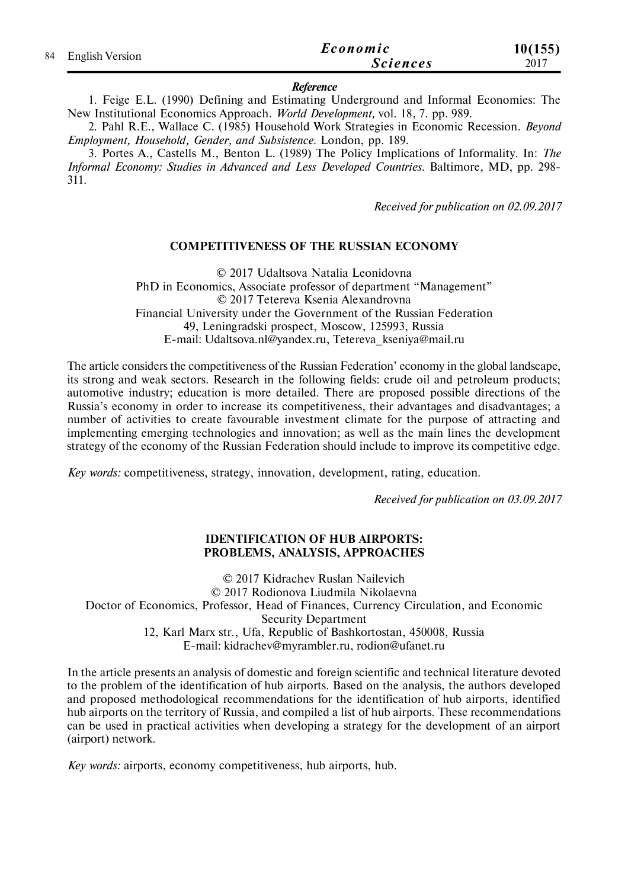| 84 English Version | Economic        | 10(155) |
|--------------------|-----------------|---------|
|                    | <i>Sciences</i> | 2017    |

#### *Reference*

1. Feige E.L. (1990) Defining and Estimating Underground and Informal Economies: The New Institutional Economics Approach. *World Development,* vol. 18, 7. pp. 989.

2. Pahl R.E., Wallace C. (1985) Household Work Strategies in Economic Recession. *Beyond Employment, Household, Gender, and Subsistence.* London, pp. 189.

3. Portes A., Castells M., Benton L. (1989) The Policy Implications of Informality. In: *The Informal Economy: Studies in Advanced and Less Developed Countries*. Baltimore, MD, pp. 298- 311.

*Received for publication on 02.09.2017*

### **COMPETITIVENESS OF THE RUSSIAN ECONOMY**

© 2017 Udaltsova Natalia Leonidovna PhD in Economics, Associate professor of department "Management" © 2017 Tetereva Ksenia Alexandrovna Financial University under the Government of the Russian Federation 49, Leningradski prospect, Moscow, 125993, Russia E-mail: Udaltsova.nl@yandex.ru, Tetereva\_kseniya@mail.ru

The article considers the competitiveness of the Russian Federation' economy in the global landscape, its strong and weak sectors. Research in the following fields: crude oil and petroleum products; automotive industry; education is more detailed. There are proposed possible directions of the Russia's economy in order to increase its competitiveness, their advantages and disadvantages; a number of activities to create favourable investment climate for the purpose of attracting and implementing emerging technologies and innovation; as well as the main lines the development strategy of the economy of the Russian Federation should include to improve its competitive edge.

*Key words:* competitiveness, strategy, innovation, development, rating, education.

*Received for publication on 03.09.2017*

### **IDENTIFICATION OF HUB AIRPORTS: PROBLEMS, ANALYSIS, APPROACHES**

© 2017 Kidrachev Ruslan Nailevich © 2017 Rodionova Liudmila Nikolaevna Doctor of Economics, Professor, Head of Finances, Currency Circulation, and Economic Security Department 12, Karl Marx str., Ufa, Republic of Bashkortostan, 450008, Russia E-mail: kidrachev@myrambler.ru, rodion@ufanet.ru

In the article presents an analysis of domestic and foreign scientific and technical literature devoted to the problem of the identification of hub airports. Based on the analysis, the authors developed and proposed methodological recommendations for the identification of hub airports, identified hub airports on the territory of Russia, and compiled a list of hub airports. These recommendations can be used in practical activities when developing a strategy for the development of an airport (airport) network.

*Key words:* airports, economy competitiveness, hub airports, hub.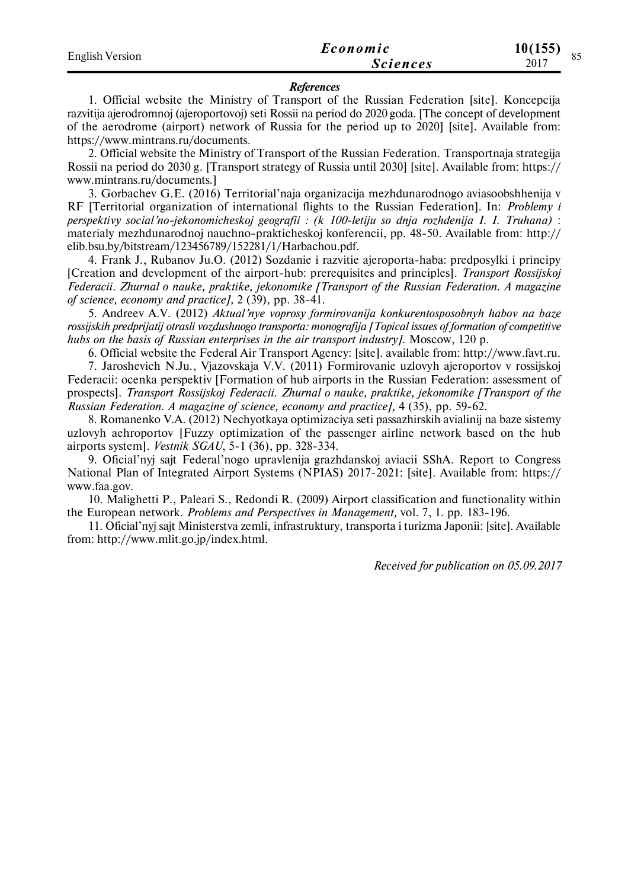| <b>English Version</b> | Economic        | 10(155)<br>$\Omega$ $\epsilon$ |
|------------------------|-----------------|--------------------------------|
|                        | <i>Sciences</i> | 2017                           |

#### *References*

1. Official website the Ministry of Transport of the Russian Federation [site]. Koncepcija razvitija ajerodromnoj (ajeroportovoj) seti Rossii na period do 2020 goda. [The concept of development of the aerodrome (airport) network of Russia for the period up to 2020] [site]. Available from: https://www.mintrans.ru/documents.

2. Official website the Ministry of Transport of the Russian Federation. Transportnaja strategija Rossii na period do 2030 g. [Transport strategy of Russia until 2030] [site]. Available from: https:// www.mintrans.ru/documents.]

3. Gorbachev G.E. (2016) Territorial'naja organizacija mezhdunarodnogo aviasoobshhenija v RF [Territorial organization of international flights to the Russian Federation]. In: *Problemy i perspektivy social'no-jekonomicheskoj geografii : (k 100-letiju so dnja rozhdenija I. I. Truhana)* : materialy mezhdunarodnoj nauchno-prakticheskoj konferencii, pp. 48-50. Available from: http:// elib.bsu.by/bitstream/123456789/152281/1/Harbachou.pdf.

4. Frank J., Rubanov Ju.O. (2012) Sozdanie i razvitie ajeroporta-haba: predposylki i principy [Creation and development of the airport-hub: prerequisites and principles]. *Transport Rossijskoj Federacii. Zhurnal o nauke, praktike, jekonomike [Transport of the Russian Federation. A magazine of science, economy and practice],* 2 (39), pp. 38-41.

5. Andreev A.V. (2012) *Aktual'nye voprosy formirovanija konkurentosposobnyh habov na baze rossijskih predprijatij otrasli vozdushnogo transporta: monografija [Topical issues of formation of competitive hubs on the basis of Russian enterprises in the air transport industry].* Moscow, 120 p.

6. Official website the Federal Air Transport Agency: [site]. available from: http://www.favt.ru.

7. Jaroshevich N.Ju., Vjazovskaja V.V. (2011) Formirovanie uzlovyh ajeroportov v rossijskoj Federacii: ocenka perspektiv [Formation of hub airports in the Russian Federation: assessment of prospects]. *Transport Rossijskoj Federacii. Zhurnal o nauke, praktike, jekonomike [Transport of the Russian Federation. A magazine of science, economy and practice],* 4 (35), pp. 59-62.

8. Romanenko V.A. (2012) Nechyotkaya optimizaciya seti passazhirskih avialinij na baze sistemy uzlovyh aehroportov [Fuzzy optimization of the passenger airline network based on the hub airports system]. *Vestnik SGAU*, 5-1 (36), pp. 328-334.

9. Oficial'nyj sajt Federal'nogo upravlenija grazhdanskoj aviacii SShA. Report to Congress National Plan of Integrated Airport Systems (NPIAS) 2017-2021: [site]. Available from: https:// www.faa.gov.

10. Malighetti P., Paleari S., Redondi R. (2009) Airport classification and functionality within the European network. *Problems and Perspectives in Management,* vol. 7, 1. pp. 183-196.

11. Oficial'nyj sajt Ministerstva zemli, infrastruktury, transporta i turizma Japonii: [site]. Available from: http://www.mlit.go.jp/index.html.

*Received for publication on 05.09.2017*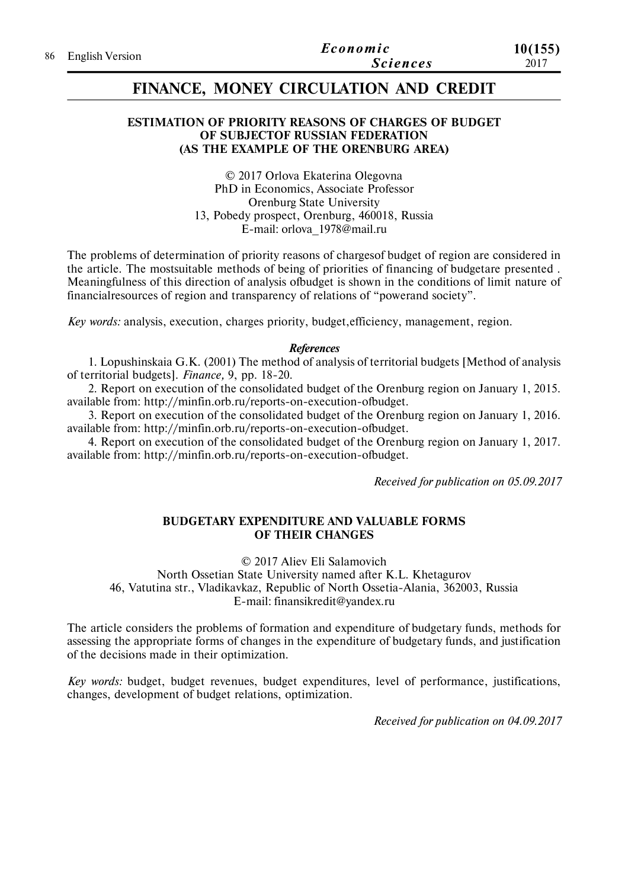| 86 English Version | Economic | 10(155)         |      |
|--------------------|----------|-----------------|------|
|                    |          | <b>Sciences</b> | 2017 |

## **FINANCE, MONEY CIRCULATION AND CREDIT**

### **ESTIMATION OF PRIORITY REASONS OF CHARGES OF BUDGET OF SUBJECTOF RUSSIAN FEDERATION (AS THE EXAMPLE OF THE ORENBURG AREA)**

© 2017 Orlova Ekaterina Olegovna PhD in Economics, Associate Professor Orenburg State University 13, Pobedy prospect, Orenburg, 460018, Russia E-mail: orlova\_1978@mail.ru

The problems of determination of priority reasons of chargesof budget of region are considered in the article. The mostsuitable methods of being of priorities of financing of budgetare presented . Meaningfulness of this direction of analysis ofbudget is shown in the conditions of limit nature of financialresources of region and transparency of relations of "powerand society".

*Key words:* analysis, execution, charges priority, budget,efficiency, management, region.

#### *References*

1. Lopushinskaia G.K. (2001) The method of analysis of territorial budgets [Method of analysis of territorial budgets]. *Finance,* 9, pp. 18-20.

2. Report on execution of the consolidated budget of the Orenburg region on January 1, 2015. available from: http://minfin.orb.ru/reports-on-execution-ofbudget.

3. Report on execution of the consolidated budget of the Orenburg region on January 1, 2016. available from: http://minfin.orb.ru/reports-on-execution-ofbudget.

4. Report on execution of the consolidated budget of the Orenburg region on January 1, 2017. available from: http://minfin.orb.ru/reports-on-execution-ofbudget.

*Received for publication on 05.09.2017*

#### **BUDGETARY EXPENDITURE AND VALUABLE FORMS OF THEIR CHANGES**

© 2017 Aliev Eli Salamovich

North Ossetian State University named after K.L. Khetagurov 46, Vatutina str., Vladikavkaz, Republic of North Ossetia-Alania, 362003, Russia E-mail: finansikredit@yandex.ru

The article considers the problems of formation and expenditure of budgetary funds, methods for assessing the appropriate forms of changes in the expenditure of budgetary funds, and justification of the decisions made in their optimization.

*Key words:* budget, budget revenues, budget expenditures, level of performance, justifications, changes, development of budget relations, optimization.

*Received for publication on 04.09.2017*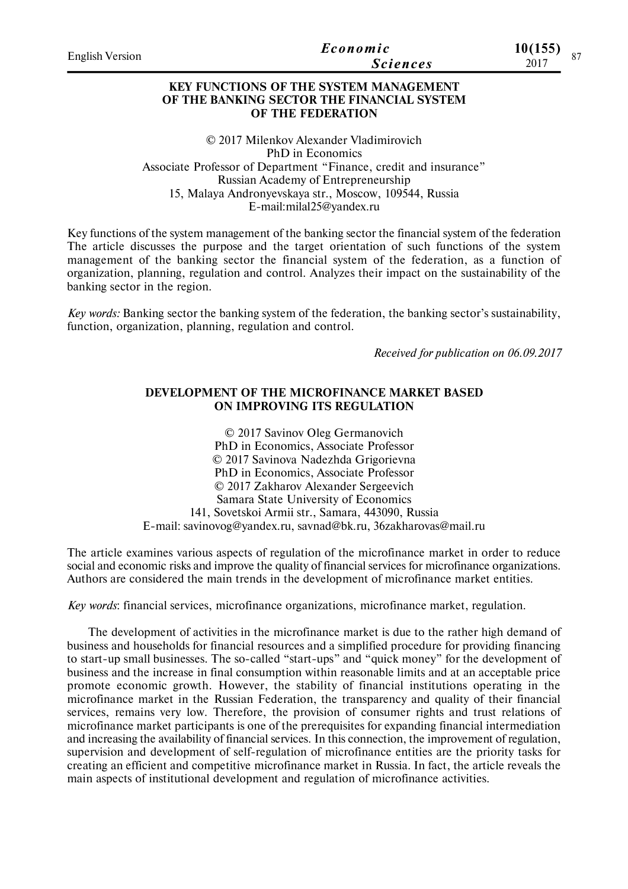| English Version | Economic<br><i>Sciences</i>                               | 10(155)<br>$201^{-}$ |  |
|-----------------|-----------------------------------------------------------|----------------------|--|
|                 | <b>ITEL ELIMINEO VOLOGIE OUTER L'AGRANIA DE L'ANTISTE</b> |                      |  |

## **KEY FUNCTIONS OF THE SYSTEM MANAGEMENT OF THE BANKING SECTOR THE FINANCIAL SYSTEM OF THE FEDERATION**

© 2017 Milenkov Alexander Vladimirovich PhD in Economics Associate Professor of Department "Finance, credit and insurance" Russian Academy of Entrepreneurship 15, Malaya Andronyevskaya str., Moscow, 109544, Russia E-mail:milal25@yandex.ru

Key functions of the system management of the banking sector the financial system of the federation The article discusses the purpose and the target orientation of such functions of the system management of the banking sector the financial system of the federation, as a function of organization, planning, regulation and control. Analyzes their impact on the sustainability of the banking sector in the region.

*Key words:* Banking sector the banking system of the federation, the banking sector's sustainability, function, organization, planning, regulation and control.

*Received for publication on 06.09.2017*

### **DEVELOPMENT OF THE MICROFINANCE MARKET BASED ON IMPROVING ITS REGULATION**

© 2017 Savinov Oleg Germanovich PhD in Economics, Associate Professor © 2017 Savinova Nadezhda Grigorievna PhD in Economics, Associate Professor © 2017 Zakharov Alexander Sergeevich Samara State University of Economics 141, Sovetskoi Armii str., Samara, 443090, Russia E-mail: savinovog@yandex.ru, savnad@bk.ru, 36zakharovas@mail.ru

The article examines various aspects of regulation of the microfinance market in order to reduce social and economic risks and improve the quality of financial services for microfinance organizations. Authors are considered the main trends in the development of microfinance market entities.

*Key words*: financial services, microfinance organizations, microfinance market, regulation.

The development of activities in the microfinance market is due to the rather high demand of business and households for financial resources and a simplified procedure for providing financing to start-up small businesses. The so-called "start-ups" and "quick money" for the development of business and the increase in final consumption within reasonable limits and at an acceptable price promote economic growth. However, the stability of financial institutions operating in the microfinance market in the Russian Federation, the transparency and quality of their financial services, remains very low. Therefore, the provision of consumer rights and trust relations of microfinance market participants is one of the prerequisites for expanding financial intermediation and increasing the availability of financial services. In this connection, the improvement of regulation, supervision and development of self-regulation of microfinance entities are the priority tasks for creating an efficient and competitive microfinance market in Russia. In fact, the article reveals the main aspects of institutional development and regulation of microfinance activities.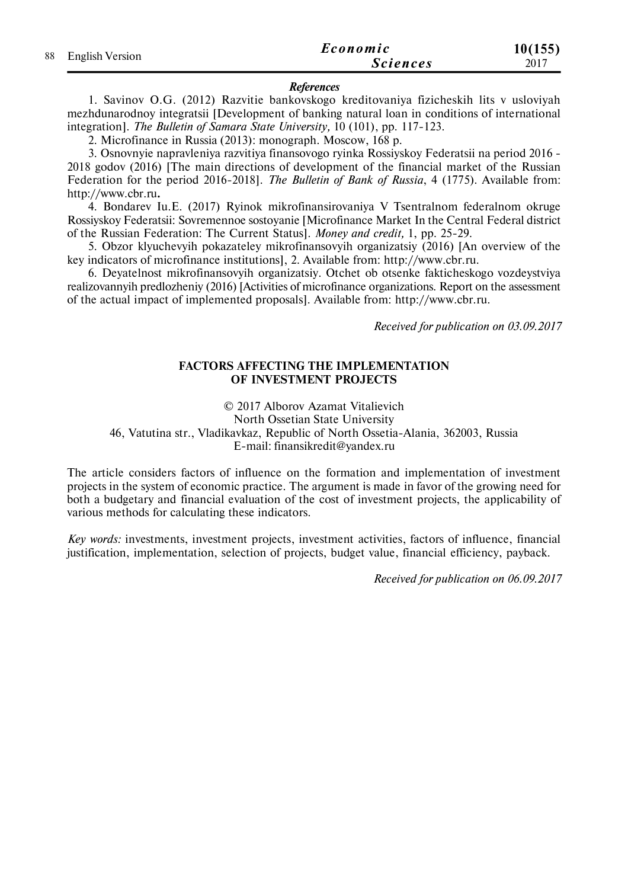| 88 English Version | Economic        | 10(155) |
|--------------------|-----------------|---------|
|                    | <b>Sciences</b> | 2017    |

#### *References*

1. Savinov O.G. (2012) Razvitie bankovskogo kreditovaniya fizicheskih lits v usloviyah mezhdunarodnoy integratsii [Development of banking natural loan in conditions of international integration]. *The Bulletin of Samara State University,* 10 (101), pp. 117-123.

2. Microfinance in Russia (2013): monograph. Moscow, 168 p.

3. Osnovnyie napravleniya razvitiya finansovogo ryinka Rossiyskoy Federatsii na period 2016 - 2018 godov (2016) [The main directions of development of the financial market of the Russian Federation for the period 2016-2018]. *The Bulletin of Bank of Russia*, 4 (1775). Available from: http://www.cbr.ru**.**

4. Bondarev Iu.E. (2017) Ryinok mikrofinansirovaniya V Tsentralnom federalnom okruge Rossiyskoy Federatsii: Sovremennoe sostoyanie [Microfinance Market In the Central Federal district of the Russian Federation: The Current Status]. *Money and credit,* 1, pp. 25-29.

5. Obzor klyuchevyih pokazateley mikrofinansovyih organizatsiy (2016) [An overview of the key indicators of microfinance institutions], 2. Available from: http://www.cbr.ru.

6. Deyatelnost mikrofinansovyih organizatsiy. Otchet ob otsenke fakticheskogo vozdeystviya realizovannyih predlozheniy (2016) [Activities of microfinance organizations. Report on the assessment of the actual impact of implemented proposals]. Available from: http://www.cbr.ru.

*Received for publication on 03.09.2017*

## **FACTORS AFFECTING THE IMPLEMENTATION OF INVESTMENT PROJECTS**

© 2017 Alborov Azamat Vitalievich

North Ossetian State University

46, Vatutina str., Vladikavkaz, Republic of North Ossetia-Alania, 362003, Russia E-mail: finansikredit@yandex.ru

The article considers factors of influence on the formation and implementation of investment projects in the system of economic practice. The argument is made in favor of the growing need for both a budgetary and financial evaluation of the cost of investment projects, the applicability of various methods for calculating these indicators.

*Key words:* investments, investment projects, investment activities, factors of influence, financial justification, implementation, selection of projects, budget value, financial efficiency, payback.

*Received for publication on 06.09.2017*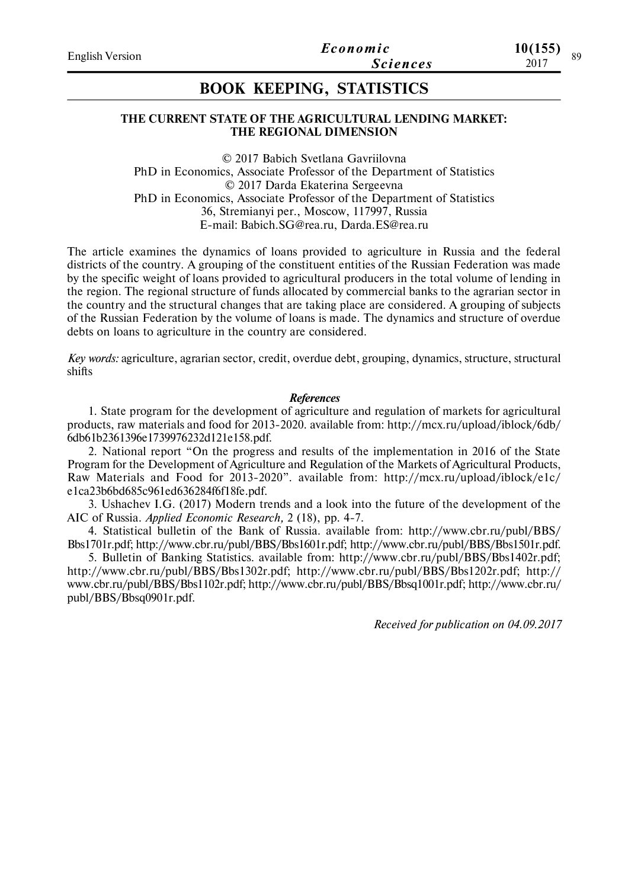#### **THE CURRENT STATE OF THE AGRICULTURAL LENDING MARKET: THE REGIONAL DIMENSION**

© 2017 Babich Svetlana Gavriilovna PhD in Economics, Associate Professor of the Department of Statistics © 2017 Darda Ekaterina Sergeevna PhD in Economics, Associate Professor of the Department of Statistics 36, Stremianyi per., Moscow, 117997, Russia E-mail: Babich.SG@rea.ru, Darda.ES@rea.ru

The article examines the dynamics of loans provided to agriculture in Russia and the federal districts of the country. A grouping of the constituent entities of the Russian Federation was made by the specific weight of loans provided to agricultural producers in the total volume of lending in the region. The regional structure of funds allocated by commercial banks to the agrarian sector in the country and the structural changes that are taking place are considered. A grouping of subjects of the Russian Federation by the volume of loans is made. The dynamics and structure of overdue debts on loans to agriculture in the country are considered.

*Key words:* agriculture, agrarian sector, credit, overdue debt, grouping, dynamics, structure, structural shifts

#### *References*

1. State program for the development of agriculture and regulation of markets for agricultural products, raw materials and food for 2013-2020. available from: http://mcx.ru/upload/iblock/6db/ 6db61b2361396e1739976232d121e158.pdf.

2. National report "On the progress and results of the implementation in 2016 of the State Program for the Development of Agriculture and Regulation of the Markets of Agricultural Products, Raw Materials and Food for 2013-2020". available from: http://mcx.ru/upload/iblock/e1c/ e1ca23b6bd685c961ed636284f6f18fe.pdf.

3. Ushachev I.G. (2017) Modern trends and a look into the future of the development of the AIC of Russia. *Applied Economic Research,* 2 (18), pp. 4-7.

4. Statistical bulletin of the Bank of Russia. available from: http://www.cbr.ru/publ/BBS/ Bbs1701r.pdf; http://www.cbr.ru/publ/BBS/Bbs1601r.pdf; http://www.cbr.ru/publ/BBS/Bbs1501r.pdf.

5. Bulletin of Banking Statistics. available from: http://www.cbr.ru/publ/BBS/Bbs1402r.pdf; http://www.cbr.ru/publ/BBS/Bbs1302r.pdf; http://www.cbr.ru/publ/BBS/Bbs1202r.pdf; http:// www.cbr.ru/publ/BBS/Bbs1102r.pdf; http://www.cbr.ru/publ/BBS/Bbsq1001r.pdf; http://www.cbr.ru/ publ/BBS/Bbsq0901r.pdf.

*Received for publication on 04.09.2017*

**10(155)**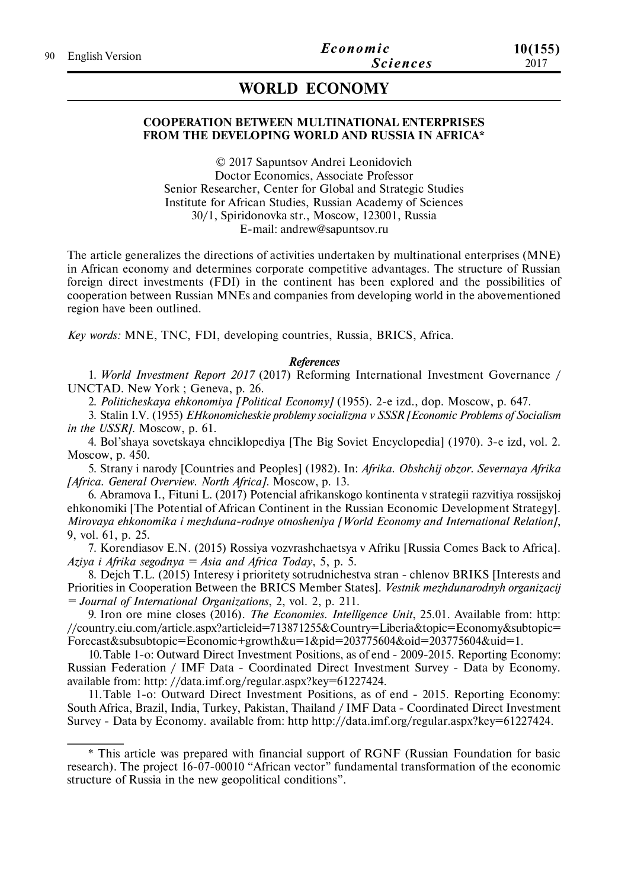# **WORLD ECONOMY**

## **COOPERATION BETWEEN MULTINATIONAL ENTERPRISES FROM THE DEVELOPING WORLD AND RUSSIA IN AFRICA\***

© 2017 Sapuntsov Andrei Leonidovich Doctor Economics, Associate Professor Senior Researcher, Center for Global and Strategic Studies Institute for African Studies, Russian Academy of Sciences 30/1, Spiridonovka str., Moscow, 123001, Russia E-mail: andrew@sapuntsov.ru

The article generalizes the directions of activities undertaken by multinational enterprises (MNE) in African economy and determines corporate competitive advantages. The structure of Russian foreign direct investments (FDI) in the continent has been explored and the possibilities of cooperation between Russian MNEs and companies from developing world in the abovementioned region have been outlined.

*Key words:* MNE, TNC, FDI, developing countries, Russia, BRICS, Africa.

#### *References*

1. *World Investment Report 2017* (2017) Reforming International Investment Governance / UNCTAD. New York ; Geneva, p. 26.

2. *Politicheskaya ehkonomiya [Political Economy]* (1955). 2-e izd., dop. Moscow, p. 647.

3. Stalin I.V. (1955) *EHkonomicheskie problemy socializma v SSSR [Economic Problems of Socialism in the USSR]*. Moscow, p. 61.

4. Bol'shaya sovetskaya ehnciklopediya [The Big Soviet Encyclopedia] (1970). 3-e izd, vol. 2. Moscow, p. 450.

5. Strany i narody [Countries and Peoples] (1982). In: *Afrika. Obshchij obzor. Severnaya Afrika [Africa. General Overview. North Africa].* Moscow, p. 13.

6. Abramova I., Fituni L. (2017) Potencial afrikanskogo kontinenta v strategii razvitiya rossijskoj ehkonomiki [The Potential of African Continent in the Russian Economic Development Strategy]. *Mirovaya ehkonomika i mezhduna-rodnye otnosheniya [World Economy and International Relation]*, 9, vol. 61, p. 25.

7. Korendiasov E.N. (2015) Rossiya vozvrashchaetsya v Afriku [Russia Comes Back to Africa]. *Aziya i Afrika segodnya = Asia and Africa Today*, 5, p. 5.

8. Dejch T.L. (2015) Interesy i prioritety sotrudnichestva stran - chlenov BRIKS [Interests and Priorities in Cooperation Between the BRICS Member States]. *Vestnik mezhdunarodnyh organizacij = Journal of International Organizations*, 2, vol. 2, p. 211.

9. Iron ore mine closes (2016). *The Economies. Intelligence Unit*, 25.01. Available from: http: //country.eiu.com/article.aspx?articleid=713871255&Country=Liberia&topic=Economy&subtopic= Forecast&subsubtopic=Economic+growth&u=1&pid=203775604&oid=203775604&uid=1.

10.Table 1-o: Outward Direct Investment Positions, as of end - 2009-2015. Reporting Economy: Russian Federation / IMF Data - Coordinated Direct Investment Survey - Data by Economy. available from: http: //data.imf.org/regular.aspx?key=61227424.

11.Table 1-o: Outward Direct Investment Positions, as of end - 2015. Reporting Economy: South Africa, Brazil, India, Turkey, Pakistan, Thailand / IMF Data - Coordinated Direct Investment Survey - Data by Economy. available from: http http://data.imf.org/regular.aspx?key=61227424.

<sup>\*</sup> This article was prepared with financial support of RGNF (Russian Foundation for basic research). The project 16-07-00010 "African vector" fundamental transformation of the economic structure of Russia in the new geopolitical conditions".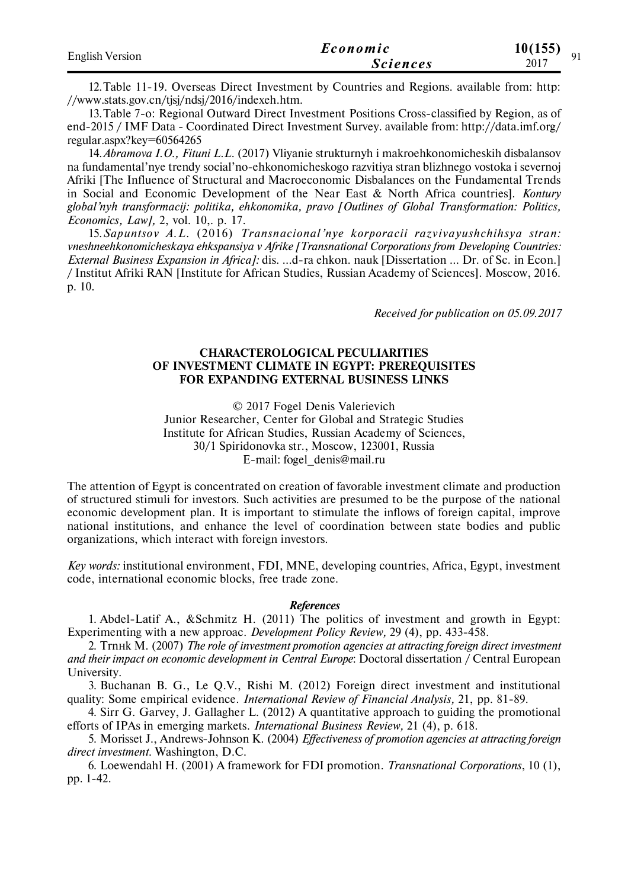| <b>English Version</b> | Economic        | 10(155)<br>$^{\Omega}1$ |
|------------------------|-----------------|-------------------------|
|                        | <b>Sciences</b> | 2017                    |

12.Table 11-19. Overseas Direct Investment by Countries and Regions. available from: http: //www.stats.gov.cn/tjsj/ndsj/2016/indexeh.htm.

13.Table 7-o: Regional Outward Direct Investment Positions Cross-classified by Region, as of end-2015 / IMF Data - Coordinated Direct Investment Survey. available from: http://data.imf.org/ regular.aspx?key=60564265

14.*Abramova I.O., Fituni L.L.* (2017) Vliyanie strukturnyh i makroehkonomicheskih disbalansov na fundamental'nye trendy social'no-ehkonomicheskogo razvitiya stran blizhnego vostoka i severnoj Afriki [The Influence of Structural and Macroeconomic Disbalances on the Fundamental Trends in Social and Economic Development of the Near East & North Africa countries]. *Kontury global'nyh transformacij: politika, ehkonomika, pravo [Outlines of Global Transformation: Politics, Economics, Law],* 2, vol. 10,. p. 17.

15.*Sapuntsov A.L.* (2016) *Transnacional'nye korporacii razvivayushchihsya stran: vneshneehkonomicheskaya ehkspansiya v Afrike [Transnational Corporations from Developing Countries: External Business Expansion in Africa]:* dis. …d-ra ehkon. nauk [Dissertation … Dr. of Sc. in Econ.] / Institut Afriki RAN [Institute for African Studies, Russian Academy of Sciences]. Moscow, 2016. p. 10.

*Received for publication on 05.09.2017*

## **CHARACTEROLOGICAL PECULIARITIES OF INVESTMENT CLIMATE IN EGYPT: PREREQUISITES FOR EXPANDING EXTERNAL BUSINESS LINKS**

© 2017 Fogel Denis Valerievich Junior Researcher, Center for Global and Strategic Studies Institute for African Studies, Russian Academy of Sciences, 30/1 Spiridonovka str., Moscow, 123001, Russia E-mail: fogel\_denis@mail.ru

The attention of Egypt is concentrated on creation of favorable investment climate and production of structured stimuli for investors. Such activities are presumed to be the purpose of the national economic development plan. It is important to stimulate the inflows of foreign capital, improve national institutions, and enhance the level of coordination between state bodies and public organizations, which interact with foreign investors.

*Key words:* institutional environment, FDI, MNE, developing countries, Africa, Egypt, investment code, international economic blocks, free trade zone.

#### *References*

1. Abdel-Latif A., &Schmitz H. (2011) The politics of investment and growth in Egypt: Experimenting with a new approac. *Development Policy Review,* 29 (4), pp. 433-458.

2. Trnнk M. (2007) *The role of investment promotion agencies at attracting foreign direct investment and their impact on economic development in Central Europe*: Doctoral dissertation / Central European University.

3. Buchanan B. G., Le Q.V., Rishi M. (2012) Foreign direct investment and institutional quality: Some empirical evidence. *International Review of Financial Analysis,* 21, pp. 81-89.

4. Sirr G. Garvey, J. Gallagher L. (2012) A quantitative approach to guiding the promotional efforts of IPAs in emerging markets. *International Business Review,* 21 (4), p. 618.

5. Morisset J., Andrews-Johnson K. (2004) *Effectiveness of promotion agencies at attracting foreign direct investment.* Washington, D.C.

6. Loewendahl H. (2001) A framework for FDI promotion. *Transnational Corporations*, 10 (1), pp. 1-42.